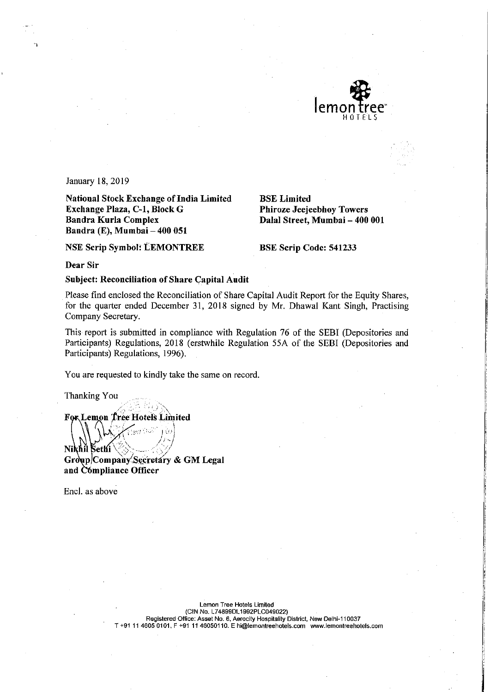

January 18, 2019

**National Stock Exchange of India Limited** Exchange Plaza, C-1, Block G Bandra Kurla Complex Bandra (E), Mumbai - 400 051

**Phiroze Jeejeebhoy Towers** Dalal Street, Mumbai - 400 001

**NSE Scrip Symbol: LEMONTREE** 

**BSE Scrip Code: 541233** 

**BSE Limited** 

Dear Sir

**Subject: Reconciliation of Share Capital Audit** 

Please find enclosed the Reconciliation of Share Capital Audit Report for the Equity Shares, for the quarter ended December 31, 2018 signed by Mr. Dhawal Kant Singh, Practising Company Secretary.

This report is submitted in compliance with Regulation 76 of the SEBI (Depositories and Participants) Regulations, 2018 (erstwhile Regulation 55A of the SEBI (Depositories and Participants) Regulations, 1996).

You are requested to kindly take the same on record.

Thanking You

For Lemon Tree Hotels Limited

Nikhil Sethi Group/Company Secretary & GM Legal and Compliance Officer

Encl. as above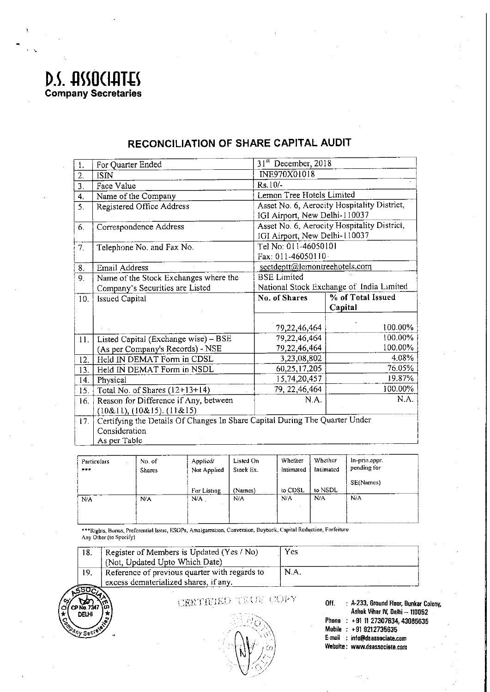## D.S. HSSOCIATES<br>Company Secretaries

| $\mathbf{I}$ .   | For Quarter Ended                                                           | 31 <sup>st</sup> December, 2018             |                                             |  |
|------------------|-----------------------------------------------------------------------------|---------------------------------------------|---------------------------------------------|--|
| 2.               | <b>ISIN</b>                                                                 | INE970X01018                                |                                             |  |
| $\overline{3}$ . | Face Value                                                                  | Rs.10/-                                     |                                             |  |
| 4.               | Name of the Company                                                         | Lemon Tree Hotels Limited                   |                                             |  |
| 5.               | Registered Office Address                                                   |                                             | Asset No. 6, Aerocity Hospitality District, |  |
|                  |                                                                             |                                             | IGI Airport, New Delhi-110037               |  |
| 6.               | Correspondence Address                                                      | Asset No. 6, Aerocity Hospitality District, |                                             |  |
|                  |                                                                             | IGI Airport, New Delhi-110037               |                                             |  |
| 7 <sub>1</sub>   | Telephone No. and Fax No.                                                   | Tel No: 011-46050101                        |                                             |  |
|                  |                                                                             | Fax: 011-46050110.                          |                                             |  |
| 8.               | Email Address                                                               | sectdeptt@lemontreehotels.com               |                                             |  |
| 9.               | Name of the Stock Exchanges where the                                       | <b>BSE</b> Limited                          |                                             |  |
|                  | Company's Securities are Listed                                             | National Stock Exchange of India Limited    |                                             |  |
| 10.              | <b>Issued Capital</b>                                                       | No. of Shares                               | % of Total Issued                           |  |
|                  |                                                                             |                                             | Capital                                     |  |
|                  |                                                                             |                                             |                                             |  |
|                  |                                                                             | 79, 22, 46, 464                             | 100.00%                                     |  |
| 11.              | Listed Capital (Exchange wise) - BSE                                        | 79,22,46,464                                | 100.00%                                     |  |
|                  | (As per Company's Records) - NSE                                            | 79,22,46,464                                | 100.00%                                     |  |
| 12.              | Held IN DEMAT Form in CDSL                                                  | 3,23,08,802                                 | 4.08%                                       |  |
| 13.              | Held IN DEMAT Form in NSDL                                                  | 60,25,17,205                                | 76.05%                                      |  |
| 14.              | Physical                                                                    | 15,74,20,457                                | 19.87%                                      |  |
| 15.              | Total No. of Shares $(12+13+14)$                                            | 79, 22, 46, 464                             | 100.00%                                     |  |
| 16.              | Reason for Difference if Any, between                                       | NA.                                         | N.A.                                        |  |
|                  | (10&11), (10&15), (11&15)                                                   |                                             |                                             |  |
| 17 <sub>1</sub>  | Certifying the Details Of Changes In Share Capital During The Quarter Under |                                             |                                             |  |
|                  | Consideration                                                               |                                             |                                             |  |
|                  | As per Table                                                                |                                             |                                             |  |

## RECONCILIATION OF SHARE CAPITAL AUDIT

Whether In-prin.appr.<br>pending for Listed On Whether No. of Applied/ Particulars Intimated Stock Ex. Intimated Not Applied  $+ + +$ Shares SE(Names) to NSDL For Listing (Names) to CDSL  $N/A$  $\overline{N/A}$  $N/A$  $N/A$  $N/A$ N/A  $N/A$ 

\*\*\*Rights, Bonus, Preferential Issue, ESOPs, Amalgamation, Conversion, Buyback, Capital Reduction, Forfeiture Any Other (to Specify)

|     | Register of Members is Updated (Yes / No)     | Yes         |
|-----|-----------------------------------------------|-------------|
|     | (Not, Updated Upto Which Date)                |             |
| 19. | Reference of previous quarter with regards to | <b>N.A.</b> |
|     | excess dematerialized shares, if any.         |             |



CERTIFIED TRUE COPY

: A-233, Ground Floor, Bunkar Colony, Off. Ashok Vihar IV, Delhi — 110052 Phone : +91 11 27307634, 43085635 Mobile : +91 9212735635 E-mail : info@dsassociate.com Website: www.dsassociate.com